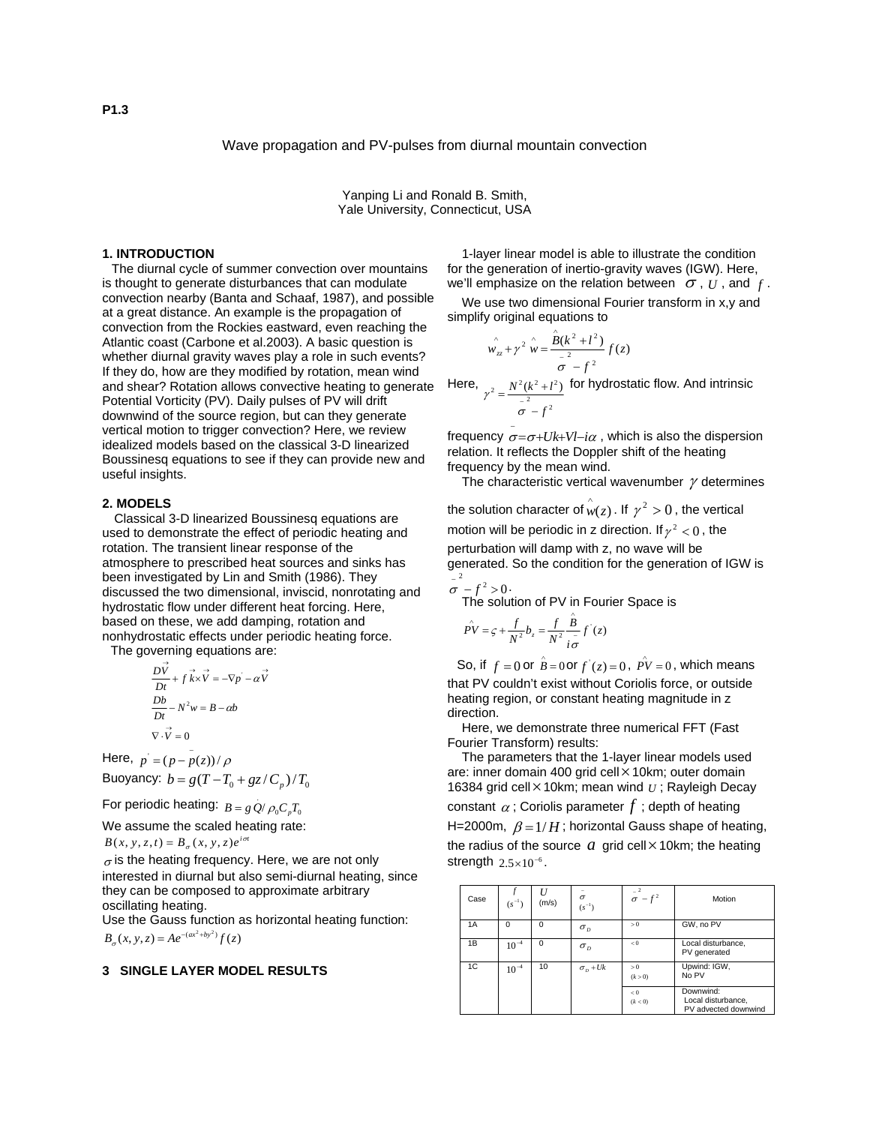Wave propagation and PV-pulses from diurnal mountain convection

Yanping Li and Ronald B. Smith, Yale University, Connecticut, USA

# **1. INTRODUCTION**

The diurnal cycle of summer convection over mountains is thought to generate disturbances that can modulate convection nearby (Banta and Schaaf, 1987), and possible at a great distance. An example is the propagation of convection from the Rockies eastward, even reaching the Atlantic coast (Carbone et al.2003). A basic question is whether diurnal gravity waves play a role in such events? If they do, how are they modified by rotation, mean wind and shear? Rotation allows convective heating to generate Potential Vorticity (PV). Daily pulses of PV will drift downwind of the source region, but can they generate vertical motion to trigger convection? Here, we review idealized models based on the classical 3-D linearized Boussinesq equations to see if they can provide new and useful insights.

## **2. MODELS**

 Classical 3-D linearized Boussinesq equations are used to demonstrate the effect of periodic heating and rotation. The transient linear response of the atmosphere to prescribed heat sources and sinks has been investigated by Lin and Smith (1986). They discussed the two dimensional, inviscid, nonrotating and hydrostatic flow under different heat forcing. Here, based on these, we add damping, rotation and nonhydrostatic effects under periodic heating force.

The governing equations are:

$$
\frac{D\vec{V}}{Dt} + f\vec{k} \times \vec{V} = -\nabla p - \alpha \vec{V}
$$

$$
\frac{Db}{Dt} - N^2 w = B - \alpha b
$$

$$
\nabla \cdot \vec{V} = 0
$$

Here,  $p' = (p - p(z))/p$ Buoyancy:  $b = g(T - T_0 + gz/C_p)/T_0$ 

For periodic heating:  $B = g Q/\rho_0 C_p T_0$ 

We assume the scaled heating rate:  $B(x, y, z, t) = B_{\sigma}(x, y, z) e^{i\sigma t}$ 

 $\sigma$  is the heating frequency. Here, we are not only interested in diurnal but also semi-diurnal heating, since they can be composed to approximate arbitrary oscillating heating.

Use the Gauss function as horizontal heating function:  $B_{\sigma}(x, y, z) = Ae^{-(ax^2 + by^2)}f(z)$ 

## **3 SINGLE LAYER MODEL RESULTS**

1-layer linear model is able to illustrate the condition for the generation of inertio-gravity waves (IGW). Here, we'll emphasize on the relation between  $\sigma$ ,  $U$ , and  $f$ .

We use two dimensional Fourier transform in x,y and simplify original equations to

$$
\hat{w_{zz}} + \gamma^2 \hat{w} = \frac{\hat{B}(k^2 + l^2)}{\sigma^2} f(z)
$$

Here, <sup>2</sup>  $\frac{1}{2}$  $_2$   $N^2(k^2+l^2)$ *f*  $N^2(k^2+l)$ −  $=\frac{N^2(k^2+1)}{\sigma^2}$  $\gamma^2 = \frac{N^2(k^2 + l^2)}{r^2}$  for hydrostatic flow. And intrinsic

frequency  $\sigma = \sigma + Uk + Vl - i\alpha$  , which is also the dispersion relation. It reflects the Doppler shift of the heating frequency by the mean wind.

The characteristic vertical wavenumber  $\gamma$  determines

the solution character of  $\stackrel{\wedge}{w}(z)$  . If  $\gamma^2 > 0$  , the vertical motion will be periodic in z direction. If  $\gamma^2 < 0$ , the

perturbation will damp with z, no wave will be generated. So the condition for the generation of IGW is  $\sigma^{-2}$  -  $f^2 > 0$ .

The solution of PV in Fourier Space is

$$
\hat{PV} = \varsigma + \frac{f}{N^2} b_z = \frac{f}{N^2} \frac{\hat{B}}{\hat{i}\sigma} f'(z)
$$

So, if  $f = 0$  or  $\hat{B} = 0$  or  $f'(z) = 0$ ,  $\rho V = 0$ , which means that PV couldn't exist without Coriolis force, or outside heating region, or constant heating magnitude in z direction.

Here, we demonstrate three numerical FFT (Fast Fourier Transform) results:

The parameters that the 1-layer linear models used are: inner domain 400 grid cell× 10km; outer domain 16384 grid cell× 10km; mean wind *<sup>U</sup>* ; Rayleigh Decay constant  $\alpha$ ; Coriolis parameter  $f$ ; depth of heating H=2000m,  $\beta = 1/H$ ; horizontal Gauss shape of heating, the radius of the source  $a$  grid cell $\times$  10km; the heating strength  $2.5 \times 10^{-6}$ .

| Case | $(s^{-1})$ | (m/s)    | $\sigma$<br>$(s^{-1})$          | $\sigma$       | Motion                                                  |  |  |
|------|------------|----------|---------------------------------|----------------|---------------------------------------------------------|--|--|
| 1A   | $\Omega$   | $\Omega$ | $\sigma_{\scriptscriptstyle D}$ | > 0            | GW, no PV                                               |  |  |
| 1B   | $10^{-4}$  | $\Omega$ | $\sigma_{D}$                    | < 0            | Local disturbance,<br>PV generated                      |  |  |
| 1C   | $10^{-4}$  | 10       | $\sigma$ <sub>D</sub> + Uk      | > 0<br>(k > 0) | Upwind: IGW,<br>No PV                                   |  |  |
|      |            |          |                                 | < 0<br>(k < 0) | Downwind:<br>Local disturbance,<br>PV advected downwind |  |  |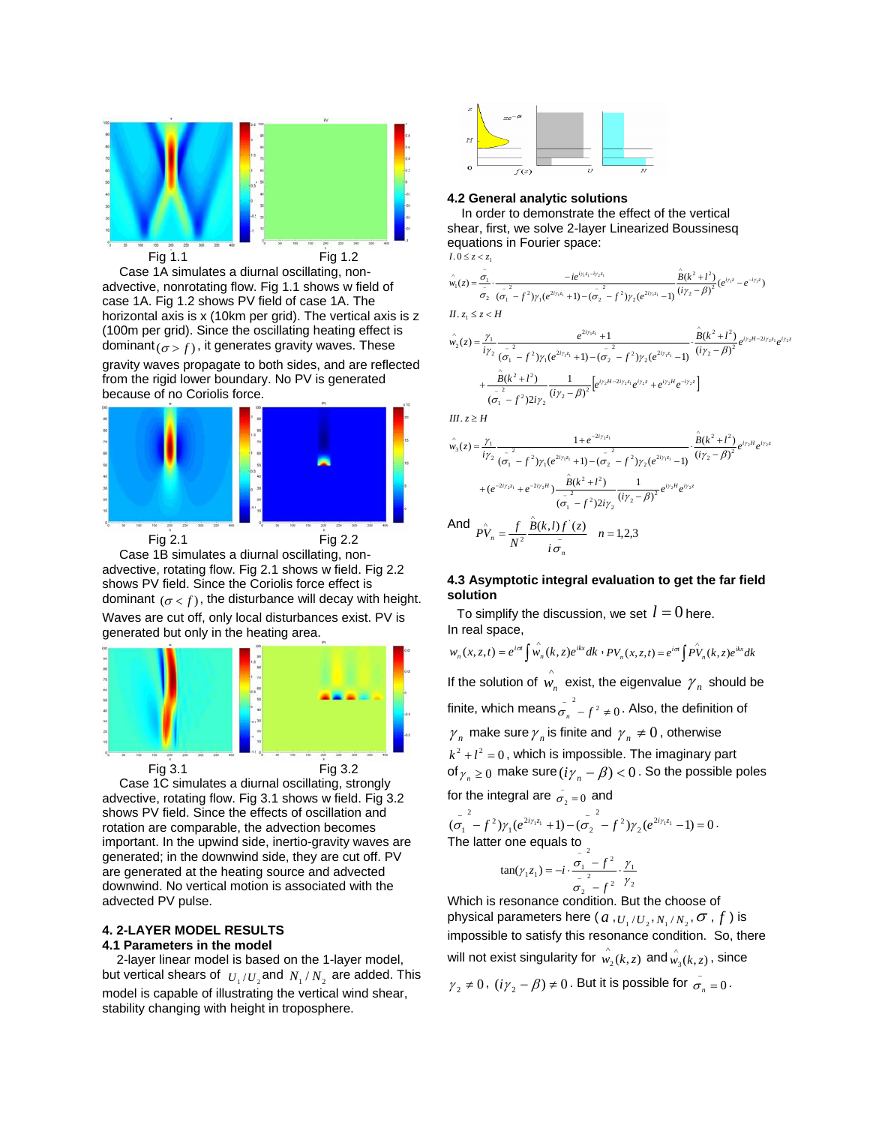

Case 1A simulates a diurnal oscillating, nonadvective, nonrotating flow. Fig 1.1 shows w field of case 1A. Fig 1.2 shows PV field of case 1A. The horizontal axis is x (10km per grid). The vertical axis is z (100m per grid). Since the oscillating heating effect is dominant  $(\sigma > f)$ , it generates gravity waves. These gravity waves propagate to both sides, and are reflected from the rigid lower boundary. No PV is generated because of no Coriolis force.



 Fig 2.1 Fig 2.2 Case 1B simulates a diurnal oscillating, nonadvective, rotating flow. Fig 2.1 shows w field. Fig 2.2 shows PV field. Since the Coriolis force effect is dominant  $(\sigma < f)$ , the disturbance will decay with height. Waves are cut off, only local disturbances exist. PV is



Case 1C simulates a diurnal oscillating, strongly advective, rotating flow. Fig 3.1 shows w field. Fig 3.2 shows PV field. Since the effects of oscillation and rotation are comparable, the advection becomes important. In the upwind side, inertio-gravity waves are generated; in the downwind side, they are cut off. PV are generated at the heating source and advected downwind. No vertical motion is associated with the advected PV pulse.

## **4. 2-LAYER MODEL RESULTS 4.1 Parameters in the model**

2-layer linear model is based on the 1-layer model, but vertical shears of  $U_1 / U_2$  and  $N_1 / N_2$  are added. This model is capable of illustrating the vertical wind shear, stability changing with height in troposphere.



### **4.2 General analytic solutions**

In order to demonstrate the effect of the vertical shear, first, we solve 2-layer Linearized Boussinesq equations in Fourier space:  $I.0 \le z < z_1$ 

 $\hat{w}_1(z) = \frac{\sigma_1}{z} \cdot \frac{-ie}{z}$ *iγ*<sub>1</sub>*z*<sub>1</sub>-*iγ*<sub>2</sub>*z*<sub>1</sub>  $\phi_1(z) = \frac{\sigma_1}{z} \cdot \frac{-}{z}$ 

$$
\hat{w}_1(z) = \frac{\sigma_1}{\sigma_2} \cdot \frac{-ie^{i\gamma_1 z_1 - i\gamma_2 z_1}}{(\sigma_1 - f^2)\gamma_1(e^{2i\gamma_1 z_1} + 1) - (\sigma_2 - f^2)\gamma_2(e^{2i\gamma_1 z_1} - 1)} \frac{\hat{B}(k^2 + l^2)}{(i\gamma_2 - \beta)^2}(e^{i\gamma_1 z} - e^{-i\gamma_1 z})
$$
  
\nII.  $z_1 \le z < H$ 

$$
\hat{w}_2(z) = \frac{\gamma_1}{i\gamma_2} \frac{e^{2i\gamma_1 z_1} + 1}{(\sigma_1^2 - f^2)\gamma_1(e^{2i\gamma_1 z_1} + 1) - (\sigma_2^2 - f^2)\gamma_2(e^{2i\gamma_1 z_1} - 1)} \cdot \frac{\hat{B}(k^2 + l^2)}{(i\gamma_2 - \beta)^2} e^{i\gamma_2 H - 2i\gamma_2 z_1} e^{i\gamma_2 z} \n+ \frac{\hat{B}(k^2 + l^2)}{(\sigma_1^2 - f^2)2i\gamma_2} \frac{1}{(i\gamma_2 - \beta)^2} \left[e^{i\gamma_2 H - 2i\gamma_2 z_1} e^{i\gamma_2 z} + e^{i\gamma_2 H} e^{-i\gamma_2 z}\right]
$$

*III*.  $z \geq H$ 

$$
\hat{w}_3(z) = \frac{\gamma_1}{i\gamma_2} \frac{1 + e^{-2i\gamma_2 z_1}}{(\sigma_1^2 - f^2)\gamma_1(e^{2i\gamma_1 z_1} + 1) - (\sigma_2^2 - f^2)\gamma_2(e^{2i\gamma_1 z_1} - 1)} \cdot \frac{\hat{B}(k^2 + l^2)}{(i\gamma_2 - \beta)^2} e^{i\gamma_2 H} e^{i\gamma_2 z_2}
$$
\n
$$
+ (e^{-2i\gamma_2 z_1} + e^{-2i\gamma_2 H}) \frac{\hat{B}(k^2 + l^2)}{(\sigma_1^2 - f^2)2i\gamma_2} \frac{1}{(i\gamma_2 - \beta)^2} e^{i\gamma_2 H} e^{i\gamma_2 z}
$$
\nAnd 
$$
P\hat{V}_n = \frac{f}{N^2} \frac{\hat{B}(k, l) f'(z)}{i\sigma_1^2}
$$
  $n = 1, 2, 3$ 

## *i n*  $n - N^2$  *i*  $\sigma$

# **4.3 Asymptotic integral evaluation to get the far field solution**

To simplify the discussion, we set  $l = 0$  here. In real space,

$$
w_n(x, z, t) = e^{i\sigma t} \int \hat{w_n}(k, z) e^{ikx} dk \cdot PV_n(x, z, t) = e^{i\sigma t} \int \hat{PV}_n(k, z) e^{ikx} dk
$$

If the solution of  $\hat{w_n}$  exist, the eigenvalue  $\gamma_n$  should be finite, which means  $\sigma_n^{-2}$  -  $f^2 \neq 0$ . Also, the definition of  $\gamma_n$  make sure  $\gamma_n$  is finite and  $\gamma_n \neq 0$ , otherwise  $k^2 + l^2 = 0$ , which is impossible. The imaginary part of  $\gamma_n \geq 0$  make sure  $(i\gamma_n - \beta) < 0$ . So the possible poles for the integral are  $\sigma_2 = 0$  and

$$
(\sigma_1^2 - f^2) \gamma_1 (e^{2i\gamma_1 z_1} + 1) - (\sigma_2^2 - f^2) \gamma_2 (e^{2i\gamma_1 z_1} - 1) = 0.
$$
  
The latter one equals to

$$
\tan(\gamma_1 z_1) = -i \cdot \frac{\sigma_1 - f^2}{\sigma_2^2 - f^2} \cdot \frac{\gamma_1}{\gamma_2}
$$

Which is resonance condition. But the choose of physical parameters here ( $a, U, U, W_1, N_1, N_2, \sigma, f$ ) is impossible to satisfy this resonance condition. So, there will not exist singularity for  $\stackrel{\wedge}{w_2}(k, z)$  and  $\stackrel{\wedge}{w_3}(k, z)$  , since

$$
\gamma_2 \neq 0
$$
,  $(i\gamma_2 - \beta) \neq 0$ . But it is possible for  $\sigma_n = 0$ .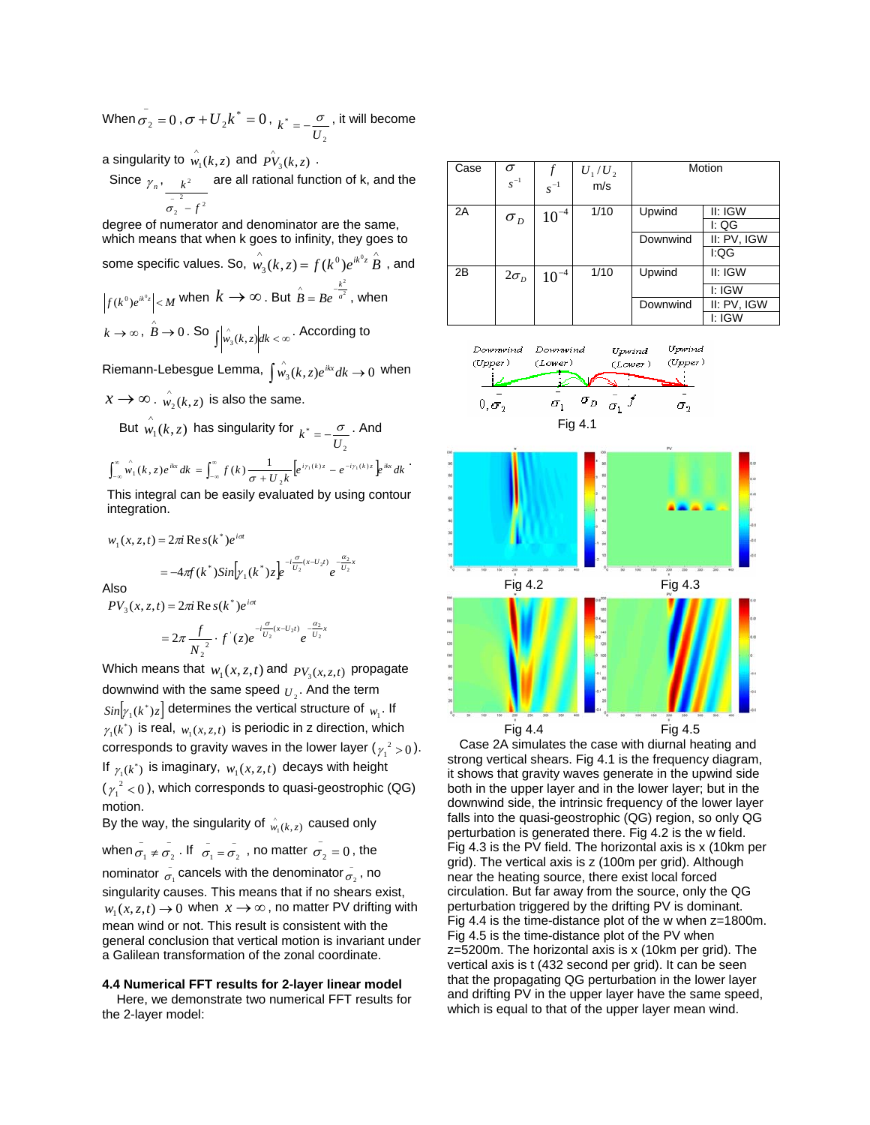When  $\sigma_2 = 0$  ,  $\sigma + U_2 k^* = 0$  , 2  $k^* = -\frac{\sigma}{U_2}$ , it will become

a singularity to  $\stackrel{\wedge}{w_1}(k, z)$  and  $\stackrel{\wedge}{P^V}\!\!{}_{3}(k, z)$  .

Since 
$$
\gamma_n
$$
,  $\frac{k^2}{\sigma_2^2 - f^2}$  are all rational function of k, and the

degree of numerator and denominator are the same, which means that when k goes to infinity, they goes to some specific values. So,  $\stackrel{\wedge}{w_3}(k,z) = f(k^0)e^{ik^0z}\stackrel{\wedge}{B}$  , and  $\int_{f(k^0)e^{ik^0z}}^{\cdot} \big| < M$  when  $k \to \infty$  . But  $\stackrel{\wedge}{B} = Be^{\frac{-k^2}{a^2}}$ *a*  $\hat{B} = Be^{-\frac{k^2}{a^2}}$ , when *<sup>k</sup>* <sup>→</sup> <sup>∞</sup> , <sup>→</sup> <sup>0</sup> <sup>∧</sup> *<sup>B</sup>* . So <sup>&</sup>lt; <sup>∞</sup> ∫ ∧ *w* (*k*,*z*)*dk* <sup>3</sup> . According to

 $\lim_{\delta \to 0} \text{Riemann-Lebesgue Lemma, } \int_{0}^{\delta} (k, z) e^{ikx} dk \to 0 \text{ when } i$ 

 $x \rightarrow \infty$  .  $\stackrel{\wedge}{w_2}(k, z)$  is also the same.

But 
$$
\hat{w}_1(k, z)
$$
 has singularity for  $k^* = -\frac{\sigma}{U_2}$ . And

$$
\int_{-\infty}^{\infty} \hat{w_1}(k, z) e^{ikx} dk = \int_{-\infty}^{\infty} f(k) \frac{1}{\sigma + U_2 k} \Big[ e^{i \gamma_1(k) z} - e^{-i \gamma_1(k) z} \Big] e^{ikx} dk
$$

This integral can be easily evaluated by using contour integration.

$$
w_1(x, z, t) = 2\pi i \text{ Re } s(k^*)e^{i\sigma t}
$$
  
=  $-4\pi f(k^*)\sin[\gamma_1(k^*)z]e^{-i\frac{\sigma}{U_2}(x-U_2t)}e^{-\frac{\alpha_2}{U_2}x}$   
Also  
 $PV_3(x, z, t) = 2\pi i \text{ Re } s(k^*)e^{i\sigma t}$ 

$$
=2\pi \frac{f}{N_2^2} \cdot f'(z)e^{-i\frac{\sigma}{U_2}(x-U_2t)}e^{-\frac{\alpha_2}{U_2}x}
$$

Which means that  $w_1(x, z, t)$  and  $p_{V_2(x, z, t)}$  propagate downwind with the same speed  $_{\boldsymbol{U}_2}$ . And the term  $\textit{Sin}\big[\gamma_{1}(k^{*})_{\mathcal{Z}}\big]$  determines the vertical structure of  $_{W_{1}}.$  If  $\gamma_1(k^*)$  is real,  $w_1(x, z, t)$  is periodic in z direction, which corresponds to gravity waves in the lower layer ( $\gamma_1^2 > 0$ ). If  $\gamma_1(k^*)$  is imaginary,  $w_1(x, z, t)$  decays with height  $(\gamma_1^2 < 0)$ , which corresponds to quasi-geostrophic (QG) motion.

By the way, the singularity of  $\hat{w}_1(k, z)$  caused only

when  $\sigma_1 \neq \sigma_2$  . If  $\sigma_1 = \sigma_2$ , no matter  $\sigma_2 = 0$ , the

nominator  $\sigma_1$  cancels with the denominator  $\sigma_2$ , no singularity causes. This means that if no shears exist,  $w_1(x, z, t) \rightarrow 0$  when  $x \rightarrow \infty$ , no matter PV drifting with mean wind or not. This result is consistent with the general conclusion that vertical motion is invariant under a Galilean transformation of the zonal coordinate.

## **4.4 Numerical FFT results for 2-layer linear model**

Here, we demonstrate two numerical FFT results for the 2-layer model:

| Case | $\sigma$<br>$s^{-1}$ |           | $U_1/U_2$ m/s | Motion   |             |
|------|----------------------|-----------|---------------|----------|-------------|
|      |                      | $s^{-1}$  |               |          |             |
| 2A   | $\sigma_{p}$         | $10^{-4}$ | 1/10          | Upwind   | II: IGW     |
|      |                      |           |               |          | I: QG       |
|      |                      |           |               | Downwind | II: PV, IGW |
|      |                      |           |               |          | I:QG        |
| 2B   | $2\sigma_{D}$        | $10^{-4}$ | 1/10          | Upwind   | II: IGW     |
|      |                      |           |               |          | I: IGW      |
|      |                      |           |               | Downwind | II: PV, IGW |
|      |                      |           |               |          | I: IGW      |





 Case 2A simulates the case with diurnal heating and strong vertical shears. Fig 4.1 is the frequency diagram, it shows that gravity waves generate in the upwind side both in the upper layer and in the lower layer; but in the downwind side, the intrinsic frequency of the lower layer falls into the quasi-geostrophic (QG) region, so only QG perturbation is generated there. Fig 4.2 is the w field. Fig 4.3 is the PV field. The horizontal axis is x (10km per grid). The vertical axis is z (100m per grid). Although near the heating source, there exist local forced circulation. But far away from the source, only the QG perturbation triggered by the drifting PV is dominant. Fig 4.4 is the time-distance plot of the w when z=1800m. Fig 4.5 is the time-distance plot of the PV when z=5200m. The horizontal axis is x (10km per grid). The vertical axis is t (432 second per grid). It can be seen that the propagating QG perturbation in the lower layer and drifting PV in the upper layer have the same speed, which is equal to that of the upper layer mean wind.